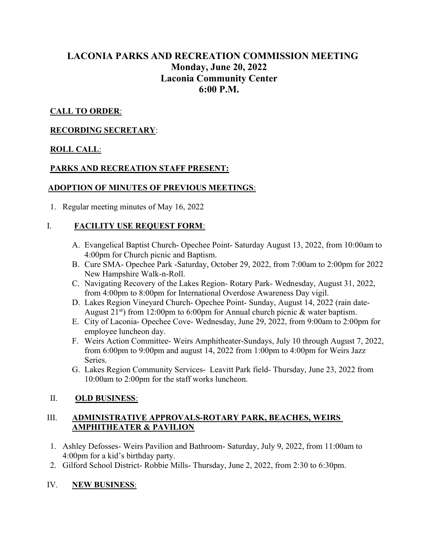# LACONIA PARKS AND RECREATION COMMISSION MEETING Monday, June 20, 2022 Laconia Community Center 6:00 P.M.

# CALL TO ORDER:

## RECORDING SECRETARY:

## ROLL CALL:

## PARKS AND RECREATION STAFF PRESENT:

## ADOPTION OF MINUTES OF PREVIOUS MEETINGS:

1. Regular meeting minutes of May 16, 2022

## I. FACILITY USE REQUEST FORM:

- A. Evangelical Baptist Church- Opechee Point- Saturday August 13, 2022, from 10:00am to 4:00pm for Church picnic and Baptism.
- B. Cure SMA- Opechee Park -Saturday, October 29, 2022, from 7:00am to 2:00pm for 2022 New Hampshire Walk-n-Roll.
- C. Navigating Recovery of the Lakes Region- Rotary Park- Wednesday, August 31, 2022, from 4:00pm to 8:00pm for International Overdose Awareness Day vigil.
- D. Lakes Region Vineyard Church- Opechee Point- Sunday, August 14, 2022 (rain date-August  $21^{st}$ ) from 12:00pm to 6:00pm for Annual church picnic & water baptism.
- E. City of Laconia- Opechee Cove- Wednesday, June 29, 2022, from 9:00am to 2:00pm for employee luncheon day.
- F. Weirs Action Committee- Weirs Amphitheater-Sundays, July 10 through August 7, 2022, from 6:00pm to 9:00pm and august 14, 2022 from 1:00pm to 4:00pm for Weirs Jazz Series.
- G. Lakes Region Community Services- Leavitt Park field- Thursday, June 23, 2022 from 10:00am to 2:00pm for the staff works luncheon.

## II. OLD BUSINESS:

## III. ADMINISTRATIVE APPROVALS-ROTARY PARK, BEACHES, WEIRS AMPHITHEATER & PAVILION

- 1. Ashley Defosses- Weirs Pavilion and Bathroom- Saturday, July 9, 2022, from 11:00am to 4:00pm for a kid's birthday party.
- 2. Gilford School District- Robbie Mills- Thursday, June 2, 2022, from 2:30 to 6:30pm.

## IV. NEW BUSINESS: